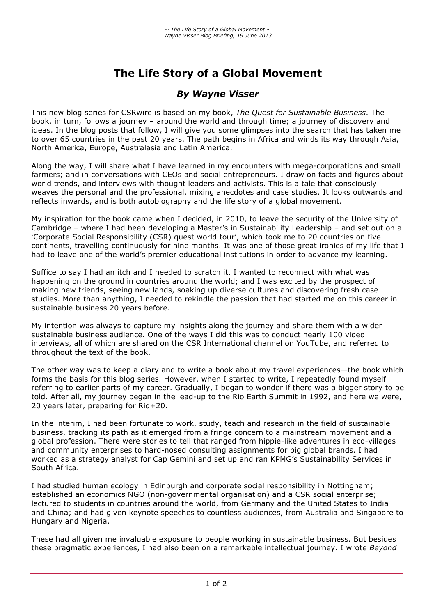# **The Life Story of a Global Movement**

## *By Wayne Visser*

This new blog series for CSRwire is based on my book, *The Quest for Sustainable Business*. The book, in turn, follows a journey – around the world and through time; a journey of discovery and ideas. In the blog posts that follow, I will give you some glimpses into the search that has taken me to over 65 countries in the past 20 years. The path begins in Africa and winds its way through Asia, North America, Europe, Australasia and Latin America.

Along the way, I will share what I have learned in my encounters with mega-corporations and small farmers; and in conversations with CEOs and social entrepreneurs. I draw on facts and figures about world trends, and interviews with thought leaders and activists. This is a tale that consciously weaves the personal and the professional, mixing anecdotes and case studies. It looks outwards and reflects inwards, and is both autobiography and the life story of a global movement.

My inspiration for the book came when I decided, in 2010, to leave the security of the University of Cambridge – where I had been developing a Master's in Sustainability Leadership – and set out on a 'Corporate Social Responsibility (CSR) quest world tour', which took me to 20 countries on five continents, travelling continuously for nine months. It was one of those great ironies of my life that I had to leave one of the world's premier educational institutions in order to advance my learning.

Suffice to say I had an itch and I needed to scratch it. I wanted to reconnect with what was happening on the ground in countries around the world; and I was excited by the prospect of making new friends, seeing new lands, soaking up diverse cultures and discovering fresh case studies. More than anything, I needed to rekindle the passion that had started me on this career in sustainable business 20 years before.

My intention was always to capture my insights along the journey and share them with a wider sustainable business audience. One of the ways I did this was to conduct nearly 100 video interviews, all of which are shared on the CSR International channel on YouTube, and referred to throughout the text of the book.

The other way was to keep a diary and to write a book about my travel experiences—the book which forms the basis for this blog series. However, when I started to write, I repeatedly found myself referring to earlier parts of my career. Gradually, I began to wonder if there was a bigger story to be told. After all, my journey began in the lead-up to the Rio Earth Summit in 1992, and here we were, 20 years later, preparing for Rio+20.

In the interim, I had been fortunate to work, study, teach and research in the field of sustainable business, tracking its path as it emerged from a fringe concern to a mainstream movement and a global profession. There were stories to tell that ranged from hippie-like adventures in eco-villages and community enterprises to hard-nosed consulting assignments for big global brands. I had worked as a strategy analyst for Cap Gemini and set up and ran KPMG's Sustainability Services in South Africa.

I had studied human ecology in Edinburgh and corporate social responsibility in Nottingham; established an economics NGO (non-governmental organisation) and a CSR social enterprise; lectured to students in countries around the world, from Germany and the United States to India and China; and had given keynote speeches to countless audiences, from Australia and Singapore to Hungary and Nigeria.

These had all given me invaluable exposure to people working in sustainable business. But besides these pragmatic experiences, I had also been on a remarkable intellectual journey. I wrote *Beyond*